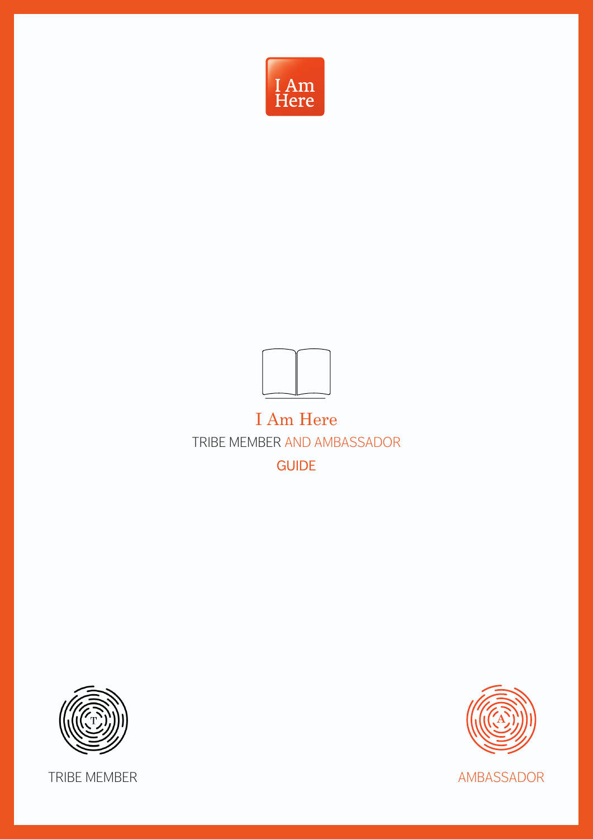



# I Am Here

TRIBE MEMBER AND AMBASSADOR

GUIDE





TRIBE MEMBER AMBASSADOR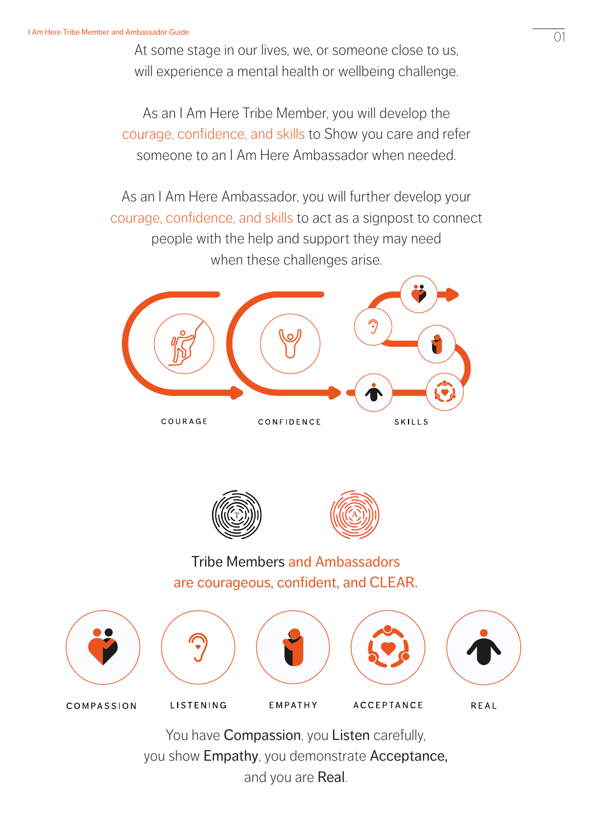At some stage in our lives, we, or someone close to us, will experience a mental health or wellbeing challenge.

As an I Am Here Tribe Member, you will develop the courage, confidence, and skills to Show you care and refer someone to an I Am Here Ambassador when needed.

As an I Am Here Ambassador, you will further develop your courage, confidence, and skills to act as a signpost to connect people with the help and support they may need when these challenges arise.







Tribe Members and Ambassadors are courageous, confident, and CLEAR.



You have **Compassion**, you Listen carefully, you show Empathy, you demonstrate Acceptance, and you are Real.

01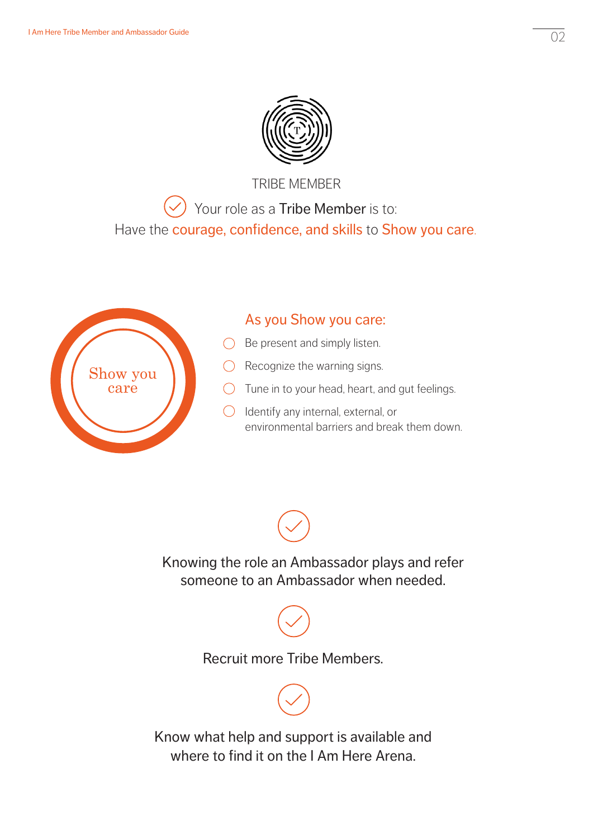

TRIBE MEMBER Your role as a Tribe Member is to: Have the courage, confidence, and skills to Show you care.



### As you Show you care:

- $\bigcirc$  Be present and simply listen.
- $\bigcirc$  Recognize the warning signs.
- $\bigcirc$  Tune in to your head, heart, and gut feelings.
- $\bigcirc$  Identify any internal, external, or environmental barriers and break them down.



Recruit more Tribe Members.



Know what help and support is available and where to find it on the I Am Here Arena.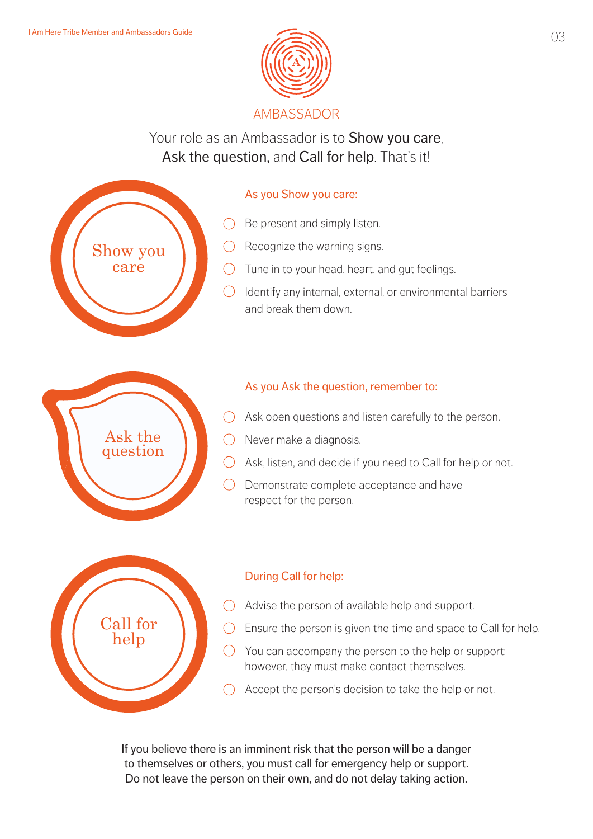

Your role as an Ambassador is to **Show you care**, Ask the question, and Call for help. That's it!

# Show you care Ask the question

Call for help

#### As you Show you care:

- $\bigcirc$  Be present and simply listen.
- $\bigcirc$  Recognize the warning signs.
- $\bigcirc$  Tune in to your head, heart, and gut feelings.
- $\bigcirc$  Identify any internal, external, or environmental barriers and break them down.

#### As you Ask the question, remember to:

- $\bigcirc$  Ask open questions and listen carefully to the person.
- $\bigcirc$  Never make a diagnosis.
- $\bigcirc$  Ask, listen, and decide if you need to Call for help or not.
- $\bigcirc$  Demonstrate complete acceptance and have respect for the person.



- $\bigcirc$  Advise the person of available help and support.
- $\bigcirc$  Ensure the person is given the time and space to Call for help.
- $\bigcirc$  You can accompany the person to the help or support; however, they must make contact themselves.
- Accept the person's decision to take the help or not.  $\bigcap$

If you believe there is an imminent risk that the person will be a danger to themselves or others, you must call for emergency help or support. Do not leave the person on their own, and do not delay taking action.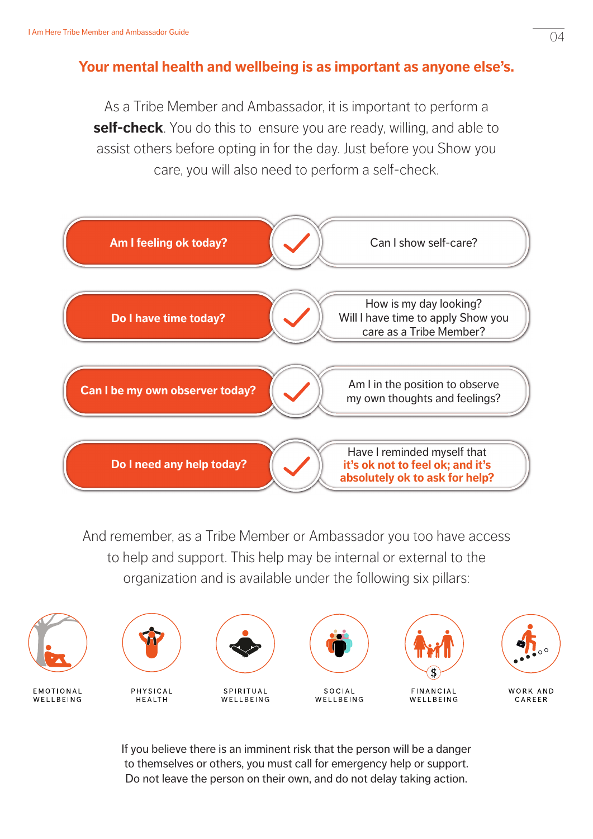## **Your mental health and wellbeing is as important as anyone else's.**

As a Tribe Member and Ambassador, it is important to perform a **self-check**. You do this to ensure you are ready, willing, and able to assist others before opting in for the day. Just before you Show you care, you will also need to perform a self-check.



And remember, as a Tribe Member or Ambassador you too have access to help and support. This help may be internal or external to the organization and is available under the following six pillars:



If you believe there is an imminent risk that the person will be a danger to themselves or others, you must call for emergency help or support. Do not leave the person on their own, and do not delay taking action.